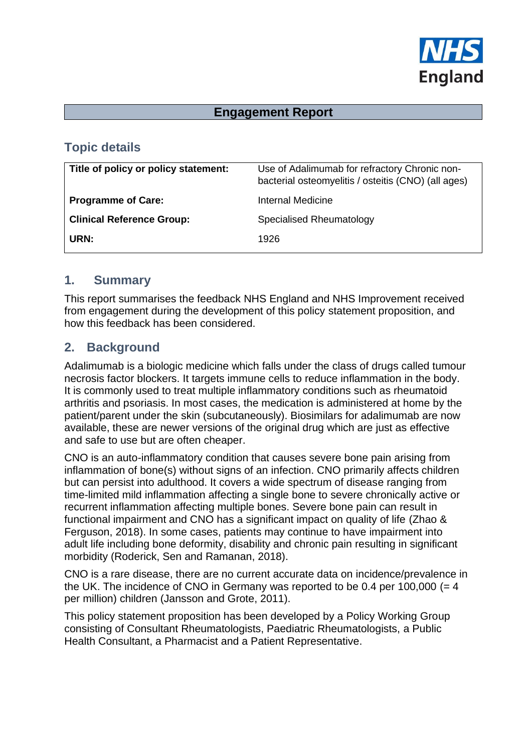

### **Engagement Report**

## **Topic details**

| Title of policy or policy statement: | Use of Adalimumab for refractory Chronic non-<br>bacterial osteomyelitis / osteitis (CNO) (all ages) |
|--------------------------------------|------------------------------------------------------------------------------------------------------|
| <b>Programme of Care:</b>            | Internal Medicine                                                                                    |
| <b>Clinical Reference Group:</b>     | Specialised Rheumatology                                                                             |
| URN:                                 | 1926                                                                                                 |
|                                      |                                                                                                      |

#### **1. Summary**

This report summarises the feedback NHS England and NHS Improvement received from engagement during the development of this policy statement proposition, and how this feedback has been considered.

### **2. Background**

Adalimumab is a biologic medicine which falls under the class of drugs called tumour necrosis factor blockers. It targets immune cells to reduce inflammation in the body. It is commonly used to treat multiple inflammatory conditions such as rheumatoid arthritis and psoriasis. In most cases, the medication is administered at home by the patient/parent under the skin (subcutaneously). Biosimilars for adalimumab are now available, these are newer versions of the original drug which are just as effective and safe to use but are often cheaper.

CNO is an auto-inflammatory condition that causes severe bone pain arising from inflammation of bone(s) without signs of an infection. CNO primarily affects children but can persist into adulthood. It covers a wide spectrum of disease ranging from time-limited mild inflammation affecting a single bone to severe chronically active or recurrent inflammation affecting multiple bones. Severe bone pain can result in functional impairment and CNO has a significant impact on quality of life (Zhao & Ferguson, 2018). In some cases, patients may continue to have impairment into adult life including bone deformity, disability and chronic pain resulting in significant morbidity (Roderick, Sen and Ramanan, 2018).

CNO is a rare disease, there are no current accurate data on incidence/prevalence in the UK. The incidence of CNO in Germany was reported to be 0.4 per 100,000  $(= 4)$ per million) children (Jansson and Grote, 2011).

This policy statement proposition has been developed by a Policy Working Group consisting of Consultant Rheumatologists, Paediatric Rheumatologists, a Public Health Consultant, a Pharmacist and a Patient Representative.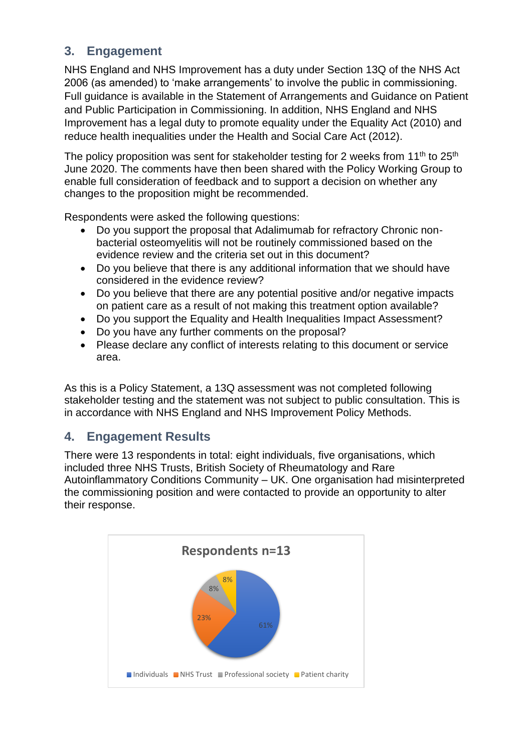## **3. Engagement**

NHS England and NHS Improvement has a duty under Section 13Q of the NHS Act 2006 (as amended) to 'make arrangements' to involve the public in commissioning. Full guidance is available in the Statement of Arrangements and Guidance on Patient and Public Participation in Commissioning. In addition, NHS England and NHS Improvement has a legal duty to promote equality under the Equality Act (2010) and reduce health inequalities under the Health and Social Care Act (2012).

The policy proposition was sent for stakeholder testing for 2 weeks from 11<sup>th</sup> to 25<sup>th</sup> June 2020. The comments have then been shared with the Policy Working Group to enable full consideration of feedback and to support a decision on whether any changes to the proposition might be recommended.

Respondents were asked the following questions:

- Do you support the proposal that Adalimumab for refractory Chronic nonbacterial osteomyelitis will not be routinely commissioned based on the evidence review and the criteria set out in this document?
- Do you believe that there is any additional information that we should have considered in the evidence review?
- Do you believe that there are any potential positive and/or negative impacts on patient care as a result of not making this treatment option available?
- Do you support the Equality and Health Inequalities Impact Assessment?
- Do you have any further comments on the proposal?
- Please declare any conflict of interests relating to this document or service area.

As this is a Policy Statement, a 13Q assessment was not completed following stakeholder testing and the statement was not subject to public consultation. This is in accordance with NHS England and NHS Improvement Policy Methods.

# **4. Engagement Results**

There were 13 respondents in total: eight individuals, five organisations, which included three NHS Trusts, British Society of Rheumatology and Rare Autoinflammatory Conditions Community – UK. One organisation had misinterpreted the commissioning position and were contacted to provide an opportunity to alter their response.

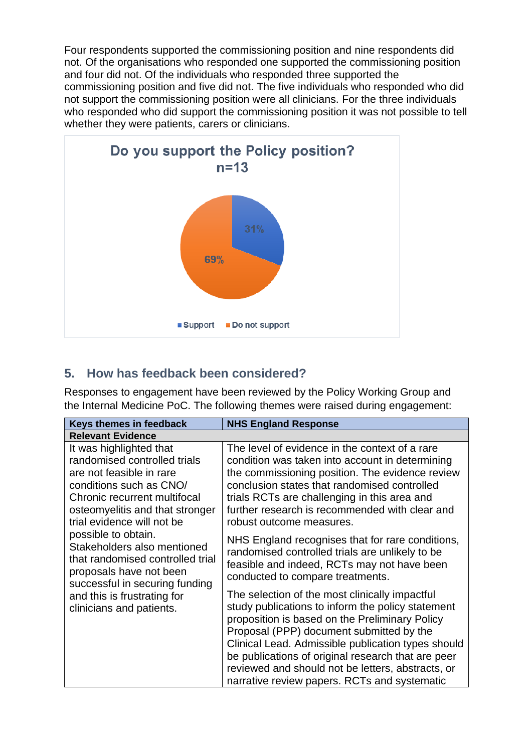Four respondents supported the commissioning position and nine respondents did not. Of the organisations who responded one supported the commissioning position and four did not. Of the individuals who responded three supported the commissioning position and five did not. The five individuals who responded who did not support the commissioning position were all clinicians. For the three individuals who responded who did support the commissioning position it was not possible to tell whether they were patients, carers or clinicians.



## **5. How has feedback been considered?**

Responses to engagement have been reviewed by the Policy Working Group and the Internal Medicine PoC. The following themes were raised during engagement:

| Keys themes in feedback                                                                                                                                                                                                                                                                                                                                                                                                           | <b>NHS England Response</b>                                                                                                                                                                                                                                                                                                                                                                                        |
|-----------------------------------------------------------------------------------------------------------------------------------------------------------------------------------------------------------------------------------------------------------------------------------------------------------------------------------------------------------------------------------------------------------------------------------|--------------------------------------------------------------------------------------------------------------------------------------------------------------------------------------------------------------------------------------------------------------------------------------------------------------------------------------------------------------------------------------------------------------------|
| <b>Relevant Evidence</b>                                                                                                                                                                                                                                                                                                                                                                                                          |                                                                                                                                                                                                                                                                                                                                                                                                                    |
| It was highlighted that<br>randomised controlled trials<br>are not feasible in rare<br>conditions such as CNO/<br>Chronic recurrent multifocal<br>osteomyelitis and that stronger<br>trial evidence will not be<br>possible to obtain.<br>Stakeholders also mentioned<br>that randomised controlled trial<br>proposals have not been<br>successful in securing funding<br>and this is frustrating for<br>clinicians and patients. | The level of evidence in the context of a rare<br>condition was taken into account in determining<br>the commissioning position. The evidence review<br>conclusion states that randomised controlled<br>trials RCTs are challenging in this area and<br>further research is recommended with clear and<br>robust outcome measures.                                                                                 |
|                                                                                                                                                                                                                                                                                                                                                                                                                                   | NHS England recognises that for rare conditions,<br>randomised controlled trials are unlikely to be<br>feasible and indeed, RCTs may not have been<br>conducted to compare treatments.                                                                                                                                                                                                                             |
|                                                                                                                                                                                                                                                                                                                                                                                                                                   | The selection of the most clinically impactful<br>study publications to inform the policy statement<br>proposition is based on the Preliminary Policy<br>Proposal (PPP) document submitted by the<br>Clinical Lead. Admissible publication types should<br>be publications of original research that are peer<br>reviewed and should not be letters, abstracts, or<br>narrative review papers. RCTs and systematic |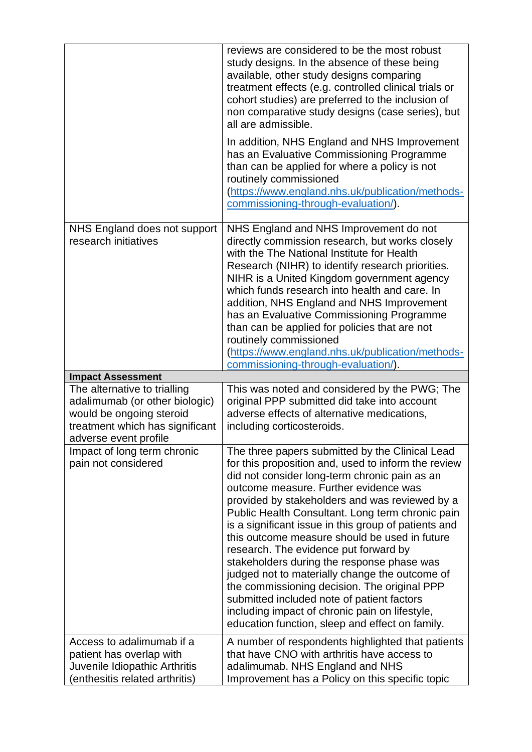|                                                                                                                                                        | reviews are considered to be the most robust<br>study designs. In the absence of these being<br>available, other study designs comparing<br>treatment effects (e.g. controlled clinical trials or<br>cohort studies) are preferred to the inclusion of<br>non comparative study designs (case series), but<br>all are admissible.                                                                                                                                                                                                                                                                                                                                                                                                                           |
|--------------------------------------------------------------------------------------------------------------------------------------------------------|-------------------------------------------------------------------------------------------------------------------------------------------------------------------------------------------------------------------------------------------------------------------------------------------------------------------------------------------------------------------------------------------------------------------------------------------------------------------------------------------------------------------------------------------------------------------------------------------------------------------------------------------------------------------------------------------------------------------------------------------------------------|
|                                                                                                                                                        | In addition, NHS England and NHS Improvement<br>has an Evaluative Commissioning Programme<br>than can be applied for where a policy is not<br>routinely commissioned<br>(https://www.england.nhs.uk/publication/methods-<br>commissioning-through-evaluation/).                                                                                                                                                                                                                                                                                                                                                                                                                                                                                             |
| NHS England does not support<br>research initiatives                                                                                                   | NHS England and NHS Improvement do not<br>directly commission research, but works closely<br>with the The National Institute for Health<br>Research (NIHR) to identify research priorities.<br>NIHR is a United Kingdom government agency<br>which funds research into health and care. In<br>addition, NHS England and NHS Improvement<br>has an Evaluative Commissioning Programme<br>than can be applied for policies that are not<br>routinely commissioned<br>(https://www.england.nhs.uk/publication/methods-<br>commissioning-through-evaluation/).                                                                                                                                                                                                  |
| <b>Impact Assessment</b>                                                                                                                               |                                                                                                                                                                                                                                                                                                                                                                                                                                                                                                                                                                                                                                                                                                                                                             |
| The alternative to trialling<br>adalimumab (or other biologic)<br>would be ongoing steroid<br>treatment which has significant<br>adverse event profile | This was noted and considered by the PWG; The<br>original PPP submitted did take into account<br>adverse effects of alternative medications,<br>including corticosteroids.                                                                                                                                                                                                                                                                                                                                                                                                                                                                                                                                                                                  |
| Impact of long term chronic<br>pain not considered                                                                                                     | The three papers submitted by the Clinical Lead<br>for this proposition and, used to inform the review<br>did not consider long-term chronic pain as an<br>outcome measure. Further evidence was<br>provided by stakeholders and was reviewed by a<br>Public Health Consultant. Long term chronic pain<br>is a significant issue in this group of patients and<br>this outcome measure should be used in future<br>research. The evidence put forward by<br>stakeholders during the response phase was<br>judged not to materially change the outcome of<br>the commissioning decision. The original PPP<br>submitted included note of patient factors<br>including impact of chronic pain on lifestyle,<br>education function, sleep and effect on family. |
| Access to adalimumab if a<br>patient has overlap with<br>Juvenile Idiopathic Arthritis                                                                 | A number of respondents highlighted that patients<br>that have CNO with arthritis have access to<br>adalimumab. NHS England and NHS                                                                                                                                                                                                                                                                                                                                                                                                                                                                                                                                                                                                                         |